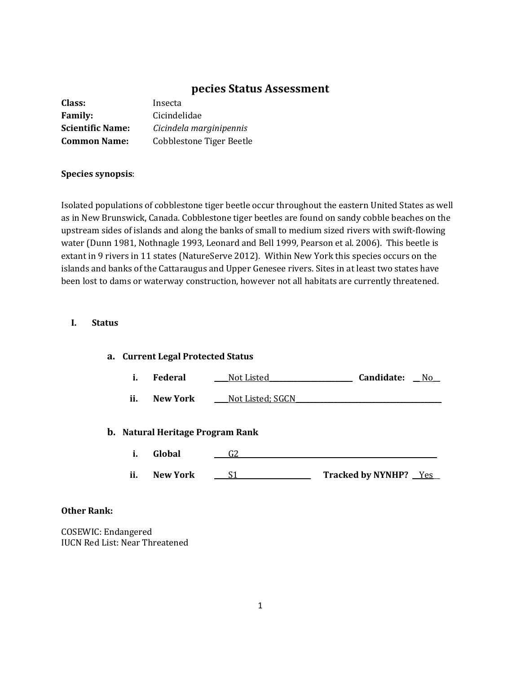# **pecies Status Assessment**

| Class:                  | Insecta                  |
|-------------------------|--------------------------|
| <b>Family:</b>          | Cicindelidae             |
| <b>Scientific Name:</b> | Cicindela marginipennis  |
| <b>Common Name:</b>     | Cobblestone Tiger Beetle |

#### **Species synopsis**:

Isolated populations of cobblestone tiger beetle occur throughout the eastern United States as well as in New Brunswick, Canada. Cobblestone tiger beetles are found on sandy cobble beaches on the upstream sides of islands and along the banks of small to medium sized rivers with swift-flowing water (Dunn 1981, Nothnagle 1993, Leonard and Bell 1999, Pearson et al. 2006). This beetle is extant in 9 rivers in 11 states (NatureServe 2012). Within New York this species occurs on the islands and banks of the Cattaraugus and Upper Genesee rivers. Sites in at least two states have been lost to dams or waterway construction, however not all habitats are currently threatened.

## **I. Status**

| a. Current Legal Protected Status |                                         |                  |                       |
|-----------------------------------|-----------------------------------------|------------------|-----------------------|
| i.                                | <b>Federal</b>                          | Not Listed       | Candidate:<br>No.     |
| ii.                               | New York                                | Not Listed; SGCN |                       |
|                                   | <b>b.</b> Natural Heritage Program Rank |                  |                       |
| i.                                | Global                                  | G2               |                       |
|                                   |                                         |                  |                       |
| ii.                               | <b>New York</b>                         | S1               | Tracked by NYNHP? Yes |

## **Other Rank:**

COSEWIC: Endangered IUCN Red List: Near Threatened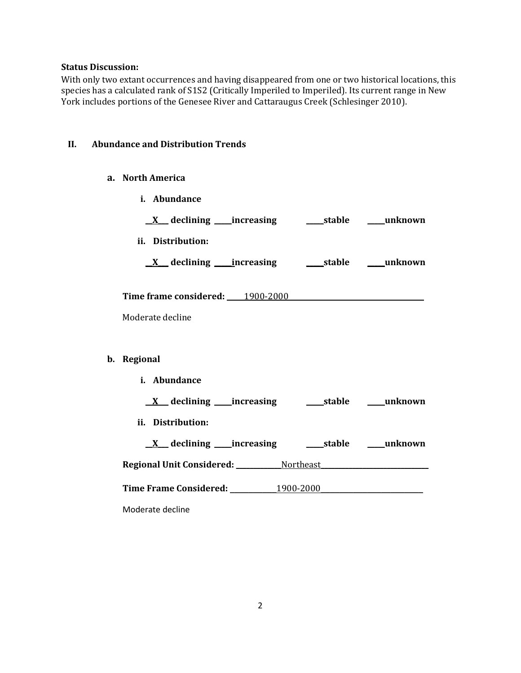## **Status Discussion:**

With only two extant occurrences and having disappeared from one or two historical locations, this species has a calculated rank of S1S2 (Critically Imperiled to Imperiled). Its current range in New York includes portions of the Genesee River and Cattaraugus Creek (Schlesinger 2010).

#### **II. Abundance and Distribution Trends**

- **a. North America**
	- **i. Abundance**

| <u>X</u> declining increasing stable must be declining |  |
|--------------------------------------------------------|--|
| ii. Distribution:                                      |  |
|                                                        |  |
| Time frame considered: 1900-2000                       |  |
| Moderate decline                                       |  |
|                                                        |  |
| b. Regional                                            |  |
| i. Abundance                                           |  |
| <u>X</u> declining increasing stable must unknown      |  |
| ii. Distribution:                                      |  |
| <u>X</u> declining increasing stable mush own          |  |
| Regional Unit Considered: Northeast                    |  |
| Time Frame Considered: 1900-2000                       |  |
| Moderate decline                                       |  |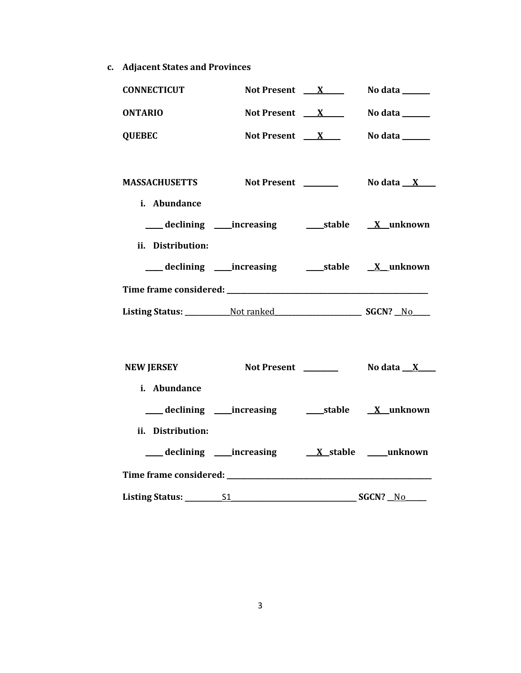**c. Adjacent States and Provinces**

| <b>CONNECTICUT</b>                   | Not Present $X$                  | No data ______         |
|--------------------------------------|----------------------------------|------------------------|
| <b>ONTARIO</b>                       | Not Present $X$                  | No data ______         |
| <b>QUEBEC</b>                        | Not Present $X$                  | <b>No data</b> _______ |
| <b>MASSACHUSETTS</b><br>i. Abundance | Not Present <b>Internal 2006</b> | No data $\mathbf{X}$   |
| ii. Distribution:                    |                                  |                        |
|                                      |                                  |                        |
|                                      |                                  |                        |
|                                      |                                  |                        |
| <b>NEW JERSEY</b>                    |                                  |                        |
| i. Abundance                         |                                  |                        |
| ii. Distribution:                    |                                  |                        |
|                                      |                                  |                        |

**Listing Status:** \_\_\_\_\_\_\_\_S1\_\_\_\_\_\_\_\_\_\_\_\_\_\_\_\_\_\_\_\_\_\_\_\_\_\_\_ **SGCN? \_\_**No**\_\_\_\_\_\_**

**Time frame considered:** \_\_\_\_\_\_\_\_\_\_\_\_\_\_\_\_\_\_\_\_\_\_\_\_\_\_\_\_\_\_\_\_\_\_\_\_\_\_\_\_\_\_\_\_\_\_\_\_\_\_\_\_\_\_\_\_\_\_\_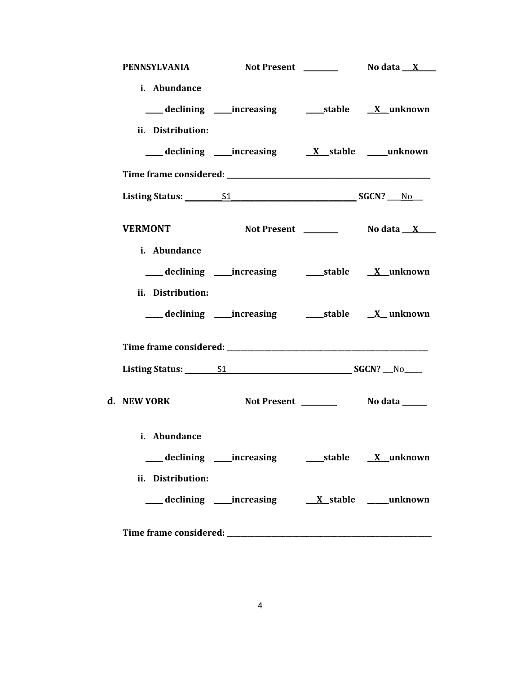| PENNSYLVANIA                                                                                                                                                                                                                   |                                       |  |
|--------------------------------------------------------------------------------------------------------------------------------------------------------------------------------------------------------------------------------|---------------------------------------|--|
| i. Abundance                                                                                                                                                                                                                   |                                       |  |
|                                                                                                                                                                                                                                |                                       |  |
| ii. Distribution:                                                                                                                                                                                                              |                                       |  |
|                                                                                                                                                                                                                                | declining increasing X stable unknown |  |
|                                                                                                                                                                                                                                |                                       |  |
| Listing Status: 51 51 SGCN? No                                                                                                                                                                                                 |                                       |  |
| <b>VERMONT</b>                                                                                                                                                                                                                 |                                       |  |
| i. Abundance                                                                                                                                                                                                                   |                                       |  |
|                                                                                                                                                                                                                                |                                       |  |
| ii. Distribution:                                                                                                                                                                                                              |                                       |  |
|                                                                                                                                                                                                                                |                                       |  |
| Time frame considered: Time and the constant of the constant of the constant of the constant of the constant of the constant of the constant of the constant of the constant of the constant of the constant of the constant o |                                       |  |
| Listing Status: 51 51 SGCN? No SGCN                                                                                                                                                                                            |                                       |  |
| d. NEW YORK                                                                                                                                                                                                                    |                                       |  |
| i. Abundance                                                                                                                                                                                                                   |                                       |  |
|                                                                                                                                                                                                                                |                                       |  |
| ii. Distribution:                                                                                                                                                                                                              |                                       |  |
|                                                                                                                                                                                                                                | declining increasing X stable unknown |  |
|                                                                                                                                                                                                                                |                                       |  |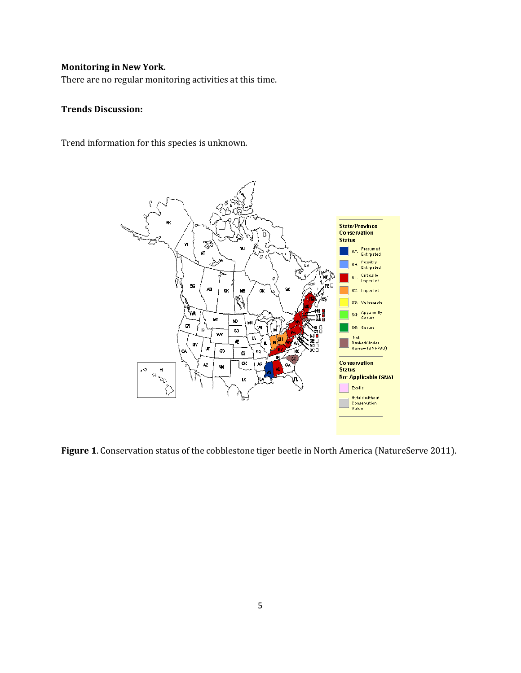# **Monitoring in New York.**

There are no regular monitoring activities at this time.

## **Trends Discussion:**

Trend information for this species is unknown.



**Figure 1**. Conservation status of the cobblestone tiger beetle in North America (NatureServe 2011).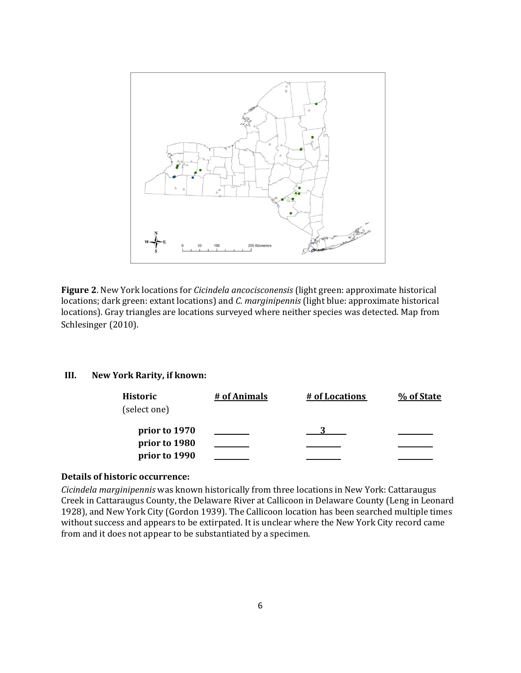

**Figure 2**. New York locations for *Cicindela ancocisconensis* (light green: approximate historical locations; dark green: extant locations) and *C. marginipennis* (light blue: approximate historical locations). Gray triangles are locations surveyed where neither species was detected. Map from Schlesinger (2010).

### **III. New York Rarity, if known:**

| Historic<br>(select one) | # of Animals | # of Locations | % of State |
|--------------------------|--------------|----------------|------------|
| prior to 1970            |              |                |            |
| prior to 1980            |              |                |            |
| prior to 1990            |              |                |            |

## **Details of historic occurrence:**

*Cicindela marginipennis* was known historically from three locations in New York: Cattaraugus Creek in Cattaraugus County, the Delaware River at Callicoon in Delaware County (Leng in Leonard 1928), and New York City (Gordon 1939). The Callicoon location has been searched multiple times without success and appears to be extirpated. It is unclear where the New York City record came from and it does not appear to be substantiated by a specimen.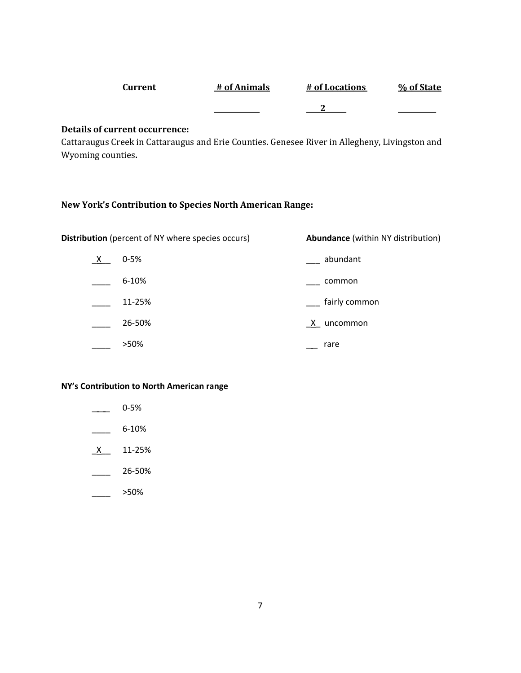| Current | # of Animals | # of Locations | % of State |
|---------|--------------|----------------|------------|
|         |              |                |            |

## **Details of current occurrence:**

Cattaraugus Creek in Cattaraugus and Erie Counties. Genesee River in Allegheny, Livingston and Wyoming counties**.**

## **New York's Contribution to Species North American Range:**

**Distribution** (percent of NY where species occurs) **Abundance** (within NY distribution)

| $\mathsf{X}$ | $0 - 5%$ |   | abundant      |
|--------------|----------|---|---------------|
|              | 6-10%    |   | common        |
|              | 11-25%   |   | fairly common |
|              | 26-50%   | X | uncommon      |
|              | >50%     |   | rare          |

## **NY's Contribution to North American range**

- $\frac{0.5\%}{0.5\%}$
- $\frac{6-10\%}{2}$
- $X$  11-25%
- $\frac{26-50\%}{26}$
- \_\_\_\_ >50%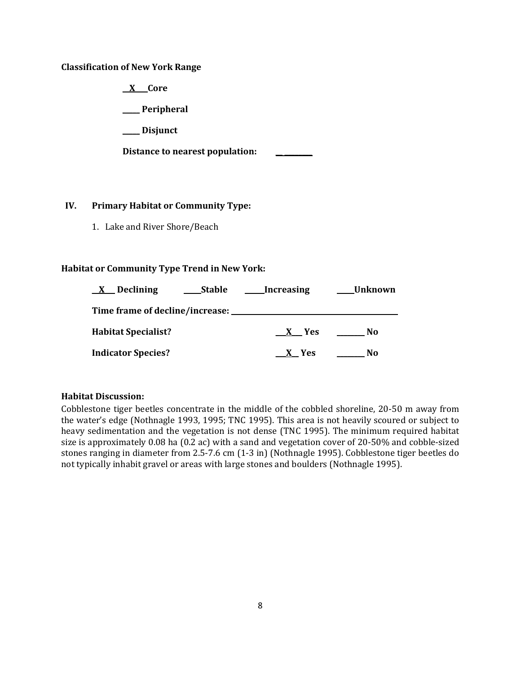### **Classification of New York Range**

**\_\_X\_\_\_ Core**

**\_\_\_\_\_ Peripheral**

**\_\_\_\_\_ Disjunct**

**Distance to nearest population: \_\_ \_\_\_\_\_\_\_\_**

## **IV. Primary Habitat or Community Type:**

1. Lake and River Shore/Beach

## **Habitat or Community Type Trend in New York:**

| Declining<br>Stable<br>$\mathbf{X}$ | Increasing | Unknown |
|-------------------------------------|------------|---------|
| Time frame of decline/increase:     |            |         |
| <b>Habitat Specialist?</b>          | X Yes      | No      |
| <b>Indicator Species?</b>           | X Yes      | N0      |

## **Habitat Discussion:**

Cobblestone tiger beetles concentrate in the middle of the cobbled shoreline, 20-50 m away from the water's edge (Nothnagle 1993, 1995; TNC 1995). This area is not heavily scoured or subject to heavy sedimentation and the vegetation is not dense (TNC 1995). The minimum required habitat size is approximately 0.08 ha (0.2 ac) with a sand and vegetation cover of 20-50% and cobble-sized stones ranging in diameter from 2.5-7.6 cm (1-3 in) (Nothnagle 1995). Cobblestone tiger beetles do not typically inhabit gravel or areas with large stones and boulders (Nothnagle 1995).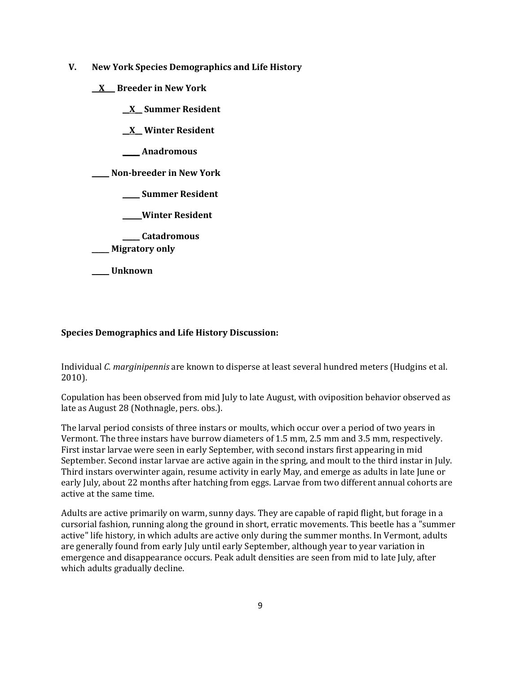- **V. New York Species Demographics and Life History**
	- **\_\_X\_\_\_ Breeder in New York**
		- **\_\_X\_\_ Summer Resident**

**\_\_X\_\_ Winter Resident**

**\_\_\_\_\_ Anadromous**

**\_\_\_\_\_ Non-breeder in New York**

**\_\_\_\_\_ Summer Resident**

**\_\_\_\_\_ Winter Resident**

**\_\_\_\_\_ Catadromous** \_\_\_\_\_ **Migratory only**

**\_\_\_\_\_ Unknown**

### **Species Demographics and Life History Discussion:**

Individual *C. marginipennis* are known to disperse at least several hundred meters (Hudgins et al. 2010).

Copulation has been observed from mid July to late August, with oviposition behavior observed as late as August 28 (Nothnagle, pers. obs.).

The larval period consists of three instars or moults, which occur over a period of two years in Vermont. The three instars have burrow diameters of 1.5 mm, 2.5 mm and 3.5 mm, respectively. First instar larvae were seen in early September, with second instars first appearing in mid September. Second instar larvae are active again in the spring, and moult to the third instar in July. Third instars overwinter again, resume activity in early May, and emerge as adults in late June or early July, about 22 months after hatching from eggs. Larvae from two different annual cohorts are active at the same time.

Adults are active primarily on warm, sunny days. They are capable of rapid flight, but forage in a cursorial fashion, running along the ground in short, erratic movements. This beetle has a "summer active" life history, in which adults are active only during the summer months. In Vermont, adults are generally found from early July until early September, although year to year variation in emergence and disappearance occurs. Peak adult densities are seen from mid to late July, after which adults gradually decline.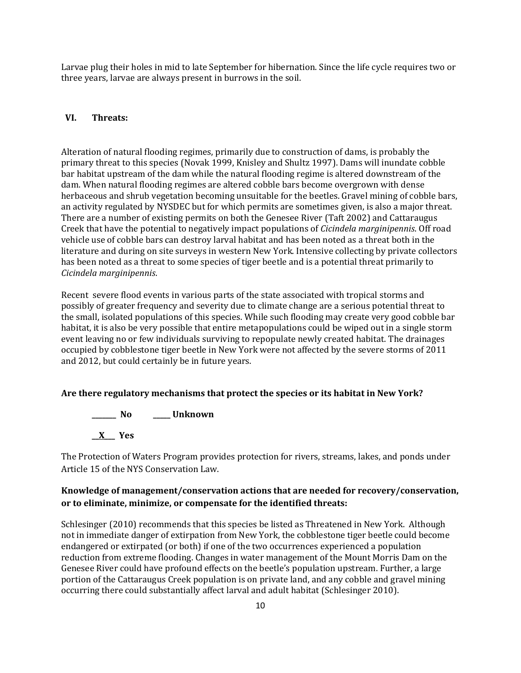Larvae plug their holes in mid to late September for hibernation. Since the life cycle requires two or three years, larvae are always present in burrows in the soil.

### **VI. Threats:**

Alteration of natural flooding regimes, primarily due to construction of dams, is probably the primary threat to this species (Novak 1999, Knisley and Shultz 1997). Dams will inundate cobble bar habitat upstream of the dam while the natural flooding regime is altered downstream of the dam. When natural flooding regimes are altered cobble bars become overgrown with dense herbaceous and shrub vegetation becoming unsuitable for the beetles. Gravel mining of cobble bars, an activity regulated by NYSDEC but for which permits are sometimes given, is also a major threat. There are a number of existing permits on both the Genesee River (Taft 2002) and Cattaraugus Creek that have the potential to negatively impact populations of *Cicindela marginipennis*. Off road vehicle use of cobble bars can destroy larval habitat and has been noted as a threat both in the literature and during on site surveys in western New York. Intensive collecting by private collectors has been noted as a threat to some species of tiger beetle and is a potential threat primarily to *Cicindela marginipennis*.

Recent severe flood events in various parts of the state associated with tropical storms and possibly of greater frequency and severity due to climate change are a serious potential threat to the small, isolated populations of this species. While such flooding may create very good cobble bar habitat, it is also be very possible that entire metapopulations could be wiped out in a single storm event leaving no or few individuals surviving to repopulate newly created habitat. The drainages occupied by cobblestone tiger beetle in New York were not affected by the severe storms of 2011 and 2012, but could certainly be in future years.

#### **Are there regulatory mechanisms that protect the species or its habitat in New York?**

**\_\_\_\_\_\_\_ No \_\_\_\_\_ Unknown**

**\_\_X\_\_\_ Yes**

The Protection of Waters Program provides protection for rivers, streams, lakes, and ponds under Article 15 of the NYS Conservation Law.

## **Knowledge of management/conservation actions that are needed for recovery/conservation, or to eliminate, minimize, or compensate for the identified threats:**

Schlesinger (2010) recommends that this species be listed as Threatened in New York. Although not in immediate danger of extirpation from New York, the cobblestone tiger beetle could become endangered or extirpated (or both) if one of the two occurrences experienced a population reduction from extreme flooding. Changes in water management of the Mount Morris Dam on the Genesee River could have profound effects on the beetle's population upstream. Further, a large portion of the Cattaraugus Creek population is on private land, and any cobble and gravel mining occurring there could substantially affect larval and adult habitat (Schlesinger 2010).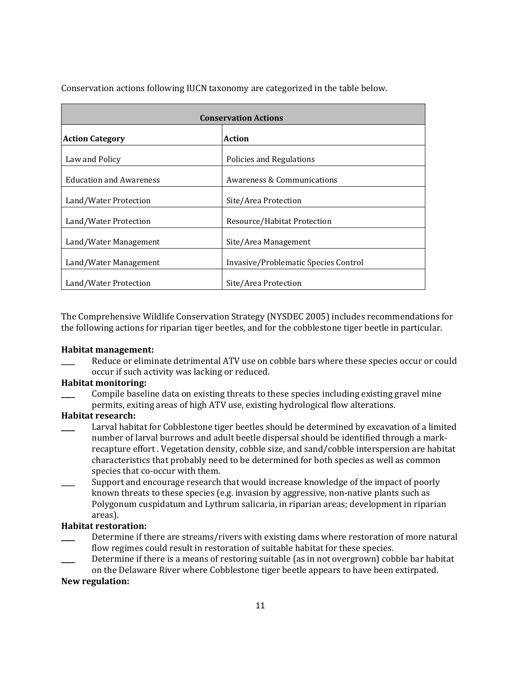| <b>Conservation Actions</b>    |                                      |  |
|--------------------------------|--------------------------------------|--|
| <b>Action Category</b>         | <b>Action</b>                        |  |
| Law and Policy                 | Policies and Regulations             |  |
| <b>Education and Awareness</b> | Awareness & Communications           |  |
| Land/Water Protection          | Site/Area Protection                 |  |
| Land/Water Protection          | Resource/Habitat Protection          |  |
| Land/Water Management          | Site/Area Management                 |  |
| Land/Water Management          | Invasive/Problematic Species Control |  |
| Land/Water Protection          | Site/Area Protection                 |  |

Conservation actions following IUCN taxonomy are categorized in the table below.

The Comprehensive Wildlife Conservation Strategy (NYSDEC 2005) includes recommendations for the following actions for riparian tiger beetles, and for the cobblestone tiger beetle in particular.

#### **Habitat management:**

Reduce or eliminate detrimental ATV use on cobble bars where these species occur or could occur if such activity was lacking or reduced.

## **Habitat monitoring:**

Compile baseline data on existing threats to these species including existing gravel mine permits, exiting areas of high ATV use, existing hydrological flow alterations.

## **Habitat research:**

- Larval habitat for Cobblestone tiger beetles should be determined by excavation of a limited number of larval burrows and adult beetle dispersal should be identified through a markrecapture effort . Vegetation density, cobble size, and sand/cobble interspersion are habitat characteristics that probably need to be determined for both species as well as common species that co-occur with them.
- Support and encourage research that would increase knowledge of the impact of poorly known threats to these species (e.g. invasion by aggressive, non-native plants such as Polygonum cuspidatum and Lythrum salicaria, in riparian areas; development in riparian areas).

#### **Habitat restoration:**

- Determine if there are streams/rivers with existing dams where restoration of more natural flow regimes could result in restoration of suitable habitat for these species.
- Determine if there is a means of restoring suitable (as in not overgrown) cobble bar habitat on the Delaware River where Cobblestone tiger beetle appears to have been extirpated.

#### **New regulation:**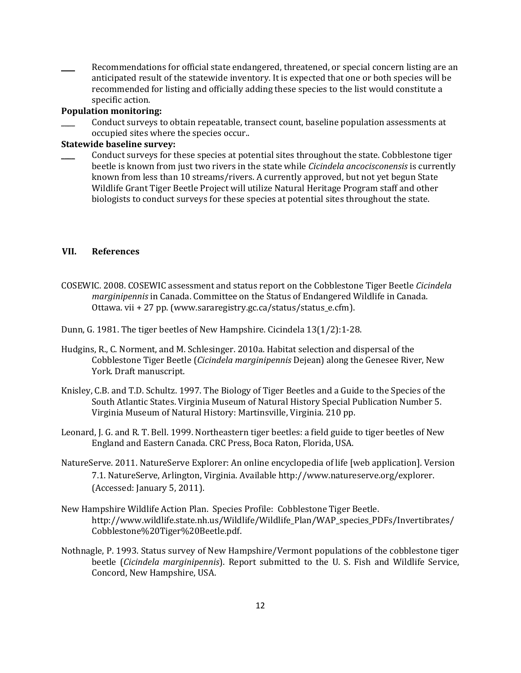Recommendations for official state endangered, threatened, or special concern listing are an anticipated result of the statewide inventory. It is expected that one or both species will be recommended for listing and officially adding these species to the list would constitute a specific action.

#### **Population monitoring:**

\_\_\_\_ Conduct surveys to obtain repeatable, transect count, baseline population assessments at occupied sites where the species occur..

### **Statewide baseline survey:**

\_\_\_\_ Conduct surveys for these species at potential sites throughout the state. Cobblestone tiger beetle is known from just two rivers in the state while *Cicindela ancocisconensis* is currently known from less than 10 streams/rivers. A currently approved, but not yet begun State Wildlife Grant Tiger Beetle Project will utilize Natural Heritage Program staff and other biologists to conduct surveys for these species at potential sites throughout the state.

## **VII. References**

COSEWIC. 2008. COSEWIC assessment and status report on the Cobblestone Tiger Beetle *Cicindela marginipennis* in Canada. Committee on the Status of Endangered Wildlife in Canada. Ottawa. vii + 27 pp. (www.sararegistry.gc.ca/status/status\_e.cfm).

Dunn, G. 1981. The tiger beetles of New Hampshire. Cicindela 13(1/2):1-28.

- Hudgins, R., C. Norment, and M. Schlesinger. 2010a. Habitat selection and dispersal of the Cobblestone Tiger Beetle (*Cicindela marginipennis* Dejean) along the Genesee River, New York. Draft manuscript.
- Knisley, C.B. and T.D. Schultz. 1997. The Biology of Tiger Beetles and a Guide to the Species of the South Atlantic States. Virginia Museum of Natural History Special Publication Number 5. Virginia Museum of Natural History: Martinsville, Virginia. 210 pp.
- Leonard, J. G. and R. T. Bell. 1999. Northeastern tiger beetles: a field guide to tiger beetles of New England and Eastern Canada. CRC Press, Boca Raton, Florida, USA.
- NatureServe. 2011. NatureServe Explorer: An online encyclopedia of life [web application]. Version 7.1. NatureServe, Arlington, Virginia. Available http://www.natureserve.org/explorer. (Accessed: January 5, 2011).
- New Hampshire Wildlife Action Plan. Species Profile: Cobblestone Tiger Beetle. http://www.wildlife.state.nh.us/Wildlife/Wildlife\_Plan/WAP\_species\_PDFs/Invertibrates/ Cobblestone%20Tiger%20Beetle.pdf.
- Nothnagle, P. 1993. Status survey of New Hampshire/Vermont populations of the cobblestone tiger beetle (*Cicindela marginipennis*). Report submitted to the U. S. Fish and Wildlife Service, Concord, New Hampshire, USA.